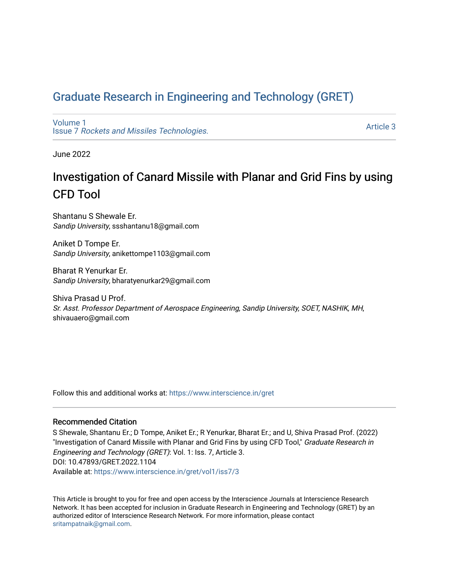# [Graduate Research in Engineering and Technology \(GRET\)](https://www.interscience.in/gret)

[Volume 1](https://www.interscience.in/gret/vol1) Issue 7 [Rockets and Missiles Technologies.](https://www.interscience.in/gret/vol1/iss7)

[Article 3](https://www.interscience.in/gret/vol1/iss7/3) 

June 2022

# Investigation of Canard Missile with Planar and Grid Fins by using CFD Tool

Shantanu S Shewale Er. Sandip University, ssshantanu18@gmail.com

Aniket D Tompe Er. Sandip University, anikettompe1103@gmail.com

Bharat R Yenurkar Er. Sandip University, bharatyenurkar29@gmail.com

Shiva Prasad U Prof. Sr. Asst. Professor Department of Aerospace Engineering, Sandip University, SOET, NASHIK, MH, shivauaero@gmail.com

Follow this and additional works at: [https://www.interscience.in/gret](https://www.interscience.in/gret?utm_source=www.interscience.in%2Fgret%2Fvol1%2Fiss7%2F3&utm_medium=PDF&utm_campaign=PDFCoverPages)

# Recommended Citation

S Shewale, Shantanu Er.; D Tompe, Aniket Er.; R Yenurkar, Bharat Er.; and U, Shiva Prasad Prof. (2022) "Investigation of Canard Missile with Planar and Grid Fins by using CFD Tool," Graduate Research in Engineering and Technology (GRET): Vol. 1: Iss. 7, Article 3. DOI: 10.47893/GRET.2022.1104 Available at: [https://www.interscience.in/gret/vol1/iss7/3](https://www.interscience.in/gret/vol1/iss7/3?utm_source=www.interscience.in%2Fgret%2Fvol1%2Fiss7%2F3&utm_medium=PDF&utm_campaign=PDFCoverPages)

This Article is brought to you for free and open access by the Interscience Journals at Interscience Research Network. It has been accepted for inclusion in Graduate Research in Engineering and Technology (GRET) by an authorized editor of Interscience Research Network. For more information, please contact [sritampatnaik@gmail.com](mailto:sritampatnaik@gmail.com).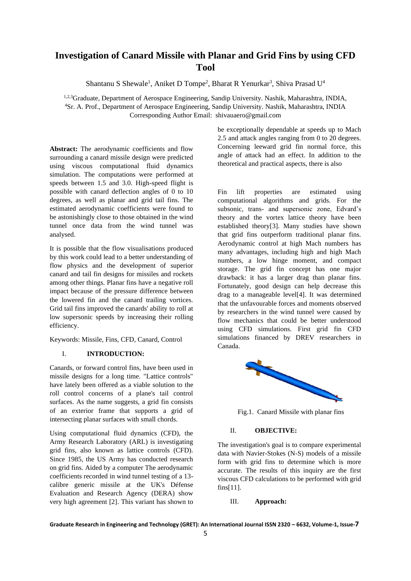# **Investigation of Canard Missile with Planar and Grid Fins by using CFD Tool**

Shantanu S Shewale<sup>1</sup>, Aniket D Tompe<sup>2</sup>, Bharat R Yenurkar<sup>3</sup>, Shiva Prasad U<sup>4</sup>

1,2,3Graduate, Department of Aerospace Engineering, Sandip University. Nashik, Maharashtra, INDIA, <sup>4</sup>Sr. A. Prof., Department of Aerospace Engineering, Sandip University. Nashik, Maharashtra, INDIA Corresponding Author Email: shivauaero@gmail.com

**Abstract:** The aerodynamic coefficients and flow surrounding a canard missile design were predicted using viscous computational fluid dynamics simulation. The computations were performed at speeds between 1.5 and 3.0. High-speed flight is possible with canard deflection angles of 0 to 10 degrees, as well as planar and grid tail fins. The estimated aerodynamic coefficients were found to be astonishingly close to those obtained in the wind tunnel once data from the wind tunnel was analysed.

It is possible that the flow visualisations produced by this work could lead to a better understanding of flow physics and the development of superior canard and tail fin designs for missiles and rockets among other things. Planar fins have a negative roll impact because of the pressure difference between the lowered fin and the canard trailing vortices. Grid tail fins improved the canards' ability to roll at low supersonic speeds by increasing their rolling efficiency.

Keywords: Missile, Fins, CFD, Canard, Control

# I. **INTRODUCTION:**

Canards, or forward control fins, have been used in missile designs for a long time. "Lattice controls" have lately been offered as a viable solution to the roll control concerns of a plane's tail control surfaces. As the name suggests, a grid fin consists of an exterior frame that supports a grid of intersecting planar surfaces with small chords.

Using computational fluid dynamics (CFD), the Army Research Laboratory (ARL) is investigating grid fins, also known as lattice controls (CFD). Since 1985, the US Army has conducted research on grid fins. Aided by a computer The aerodynamic coefficients recorded in wind tunnel testing of a 13 calibre generic missile at the UK's Défense Evaluation and Research Agency (DERA) show very high agreement [2]. This variant has shown to be exceptionally dependable at speeds up to Mach 2.5 and attack angles ranging from 0 to 20 degrees. Concerning leeward grid fin normal force, this angle of attack had an effect. In addition to the theoretical and practical aspects, there is also

Fin lift properties are estimated using computational algorithms and grids. For the subsonic, trans- and supersonic zone, Edvard's theory and the vortex lattice theory have been established theory[3]. Many studies have shown that grid fins outperform traditional planar fins. Aerodynamic control at high Mach numbers has many advantages, including high and high Mach numbers, a low hinge moment, and compact storage. The grid fin concept has one major drawback: it has a larger drag than planar fins. Fortunately, good design can help decrease this drag to a manageable level[4]. It was determined that the unfavourable forces and moments observed by researchers in the wind tunnel were caused by flow mechanics that could be better understood using CFD simulations. First grid fin CFD simulations financed by DREV researchers in Canada.



Fig.1. Canard Missile with planar fins

# II. **OBJECTIVE:**

The investigation's goal is to compare experimental data with Navier-Stokes (N-S) models of a missile form with grid fins to determine which is more accurate. The results of this inquiry are the first viscous CFD calculations to be performed with grid fins[11].

III. **Approach:** 

**Graduate Research in Engineering and Technology (GRET): An International Journal ISSN 2320 – 6632, Volume-1, Issue-7**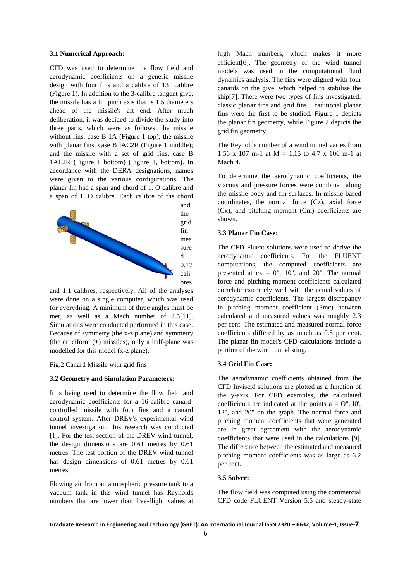#### **3.1 Numerical Approach:**

CFD was used to determine the flow field and aerodynamic coefficients on a generic missile design with four fins and a calibre of 13 calibre (Figure 1). In addition to the 3-calibre tangent give, the missile has a fin pitch axis that is 1.5 diameters ahead of the missile's aft end. After much deliberation, it was decided to divide the study into three parts, which were as follows: the missile without fins, case B 1A (Figure 1 top); the missile with planar fins, case B lAC2R (Figure 1 middle); and the missile with a set of grid fins, case B 1AL2R (Figure 1 bottom) (Figure 1, bottom). In accordance with the DERA designations, names were given to the various configurations. The planar fin had a span and chord of 1. O calibre and a span of 1. O calibre. Each calibre of the chord



and 1.1 calibres, respectively. All of the analyses were done on a single computer, which was used for everything. A minimum of three angles must be met, as well as a Mach number of 2.5[11]. Simulations were conducted performed in this case. Because of symmetry (the x-z plane) and symmetry (the cruciform (+) missiles), only a half-plane was modelled for this model (x-z plane).

# Fig.2 Canard Missile with grid fins

#### **3.2 Geometry and Simulation Parameters:**

It is being used to determine the flow field and aerodynamic coefficients for a 16-calibre canardcontrolled missile with four fins and a canard control system. After DREV's experimental wind tunnel investigation, this research was conducted [1]. For the test section of the DREV wind tunnel, the design dimensions are 0.61 metres by 0.61 metres. The test portion of the DREV wind tunnel has design dimensions of 0.61 metres by 0.61 metres.

Flowing air from an atmospheric pressure tank to a vacuum tank in this wind tunnel has Reynolds numbers that are lower than free-flight values at high Mach numbers, which makes it more efficient[6]. The geometry of the wind tunnel models was used in the computational fluid dynamics analysis. The fins were aligned with four canards on the give, which helped to stabilise the ship[7]. There were two types of fins investigated: classic planar fins and grid fins. Traditional planar fins were the first to be studied. Figure 1 depicts the planar fin geometry, while Figure 2 depicts the grid fin geometry.

The Reynolds number of a wind tunnel varies from 1.56 x 107 m-1 at  $M = 1.15$  to 4.7 x 106 m-1 at Mach 4.

To determine the aerodynamic coefficients, the viscous and pressure forces were combined along the missile body and fin surfaces. In missile-based coordinates, the normal force (Cz), axial force (Cx), and pitching moment (Cm) coefficients are shown.

# **3.3 Planar Fin Case**:

The CFD Fluent solutions were used to derive the aerodynamic coefficients. For the FLUENT computations, the computed coefficients are presented at  $cx = 0$ ", 10", and 20". The normal force and pitching moment coefficients calculated correlate extremely well with the actual values of aerodynamic coefficients. The largest discrepancy in pitching moment coefficient (Pmc) between calculated and measured values was roughly 2.3 per cent. The estimated and measured normal force coefficients differed by as much as 0.8 per cent. The planar fin model's CFD calculations include a portion of the wind tunnel sting.

#### **3.4 Grid Fin Case:**

The aerodynamic coefficients obtained from the CFD Inviscid solutions are plotted as a function of the y-axis. For CFD examples, the calculated coefficients are indicated at the points  $a = O''$ , 10', 12", and 20" on the graph. The normal force and pitching moment coefficients that were generated are in great agreement with the aerodynamic coefficients that were used in the calculations [9]. The difference between the estimated and measured pitching moment coefficients was as large as 6.2 per cent.

## **3.5 Solver:**

The flow field was computed using the commercial CFD code FLUENT Version 5.5 and steady-state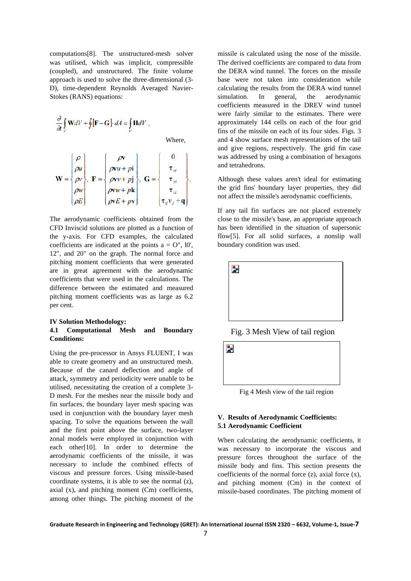computations[8]. The unstructured-mesh solver was utilised, which was implicit, compressible (coupled), and unstructured. The finite volume approach is used to solve the three-dimensional (3- D), time-dependent Reynolds Averaged Navier-Stokes (RANS) equations:

$$
\frac{\partial}{\partial t} \int_{V} \mathbf{W}dV + \oint_{V} [\mathbf{F} - \mathbf{G}] \cdot dA = \int_{V} \mathbf{H}dV, \qquad \text{Where,}
$$
\n
$$
\mathbf{W} = \begin{cases}\n\rho \\
\rho u \\
\rho v \\
\rho w\n\end{cases}, \quad \mathbf{F} = \begin{cases}\n\rho \mathbf{v} \\
\rho v u + p \mathbf{i} \\
\rho v v + p \mathbf{j} \\
\rho v w + p \mathbf{k} \\
\rho v E + p \mathbf{v}\n\end{cases}, \quad \mathbf{G} = \begin{cases}\n0 \\
\tau_{xi} \\
\tau_{zi} \\
\tau_{zi} \\
\tau_{y} v_{j} + \mathbf{q}\n\end{cases}.
$$

The aerodynamic coefficients obtained from the CFD Inviscid solutions are plotted as a function of the y-axis. For CFD examples, the calculated coefficients are indicated at the points  $a = O''$ , 10', 12", and 20" on the graph. The normal force and pitching moment coefficients that were generated are in great agreement with the aerodynamic coefficients that were used in the calculations. The difference between the estimated and measured pitching moment coefficients was as large as 6.2 per cent.

### **IV Solution Methodology:**

# **4.1 Computational Mesh and Boundary Conditions:**

Using the pre-processor in Ansys FLUENT, I was able to create geometry and an unstructured mesh. Because of the canard deflection and angle of attack, symmetry and periodicity were unable to be utilised, necessitating the creation of a complete 3- D mesh. For the meshes near the missile body and fin surfaces, the boundary layer mesh spacing was used in conjunction with the boundary layer mesh spacing. To solve the equations between the wall and the first point above the surface, two-layer zonal models were employed in conjunction with each other[10]. In order to determine the aerodynamic coefficients of the missile, it was necessary to include the combined effects of viscous and pressure forces. Using missile-based coordinate systems, it is able to see the normal (z), axial (x), and pitching moment (Cm) coefficients, among other things. The pitching moment of the

missile is calculated using the nose of the missile. The derived coefficients are compared to data from the DERA wind tunnel. The forces on the missile base were not taken into consideration while calculating the results from the DERA wind tunnel simulation. In general, the aerodynamic coefficients measured in the DREV wind tunnel were fairly similar to the estimates. There were approximately 144 cells on each of the four grid fins of the missile on each of its four sides. Figs. 3 and 4 show surface mesh representations of the tail and give regions, respectively. The grid fin case was addressed by using a combination of hexagons and tetrahedrons.

Although these values aren't ideal for estimating the grid fins' boundary layer properties, they did not affect the missile's aerodynamic coefficients.

If any tail fin surfaces are not placed extremely close to the missile's base, an appropriate approach has been identified in the situation of supersonic flow[5]. For all solid surfaces, a nonslip wall boundary condition was used.



Fig. 3 Mesh View of tail region

Þ.

Fig 4 Mesh view of the tail region

# **V. Results of Aerodynamic Coefficients: 5.1 Aerodynamic Coefficient**

When calculating the aerodynamic coefficients, it was necessary to incorporate the viscous and pressure forces throughout the surface of the missile body and fins. This section presents the coefficients of the normal force (z), axial force (x), and pitching moment (Cm) in the context of missile-based coordinates. The pitching moment of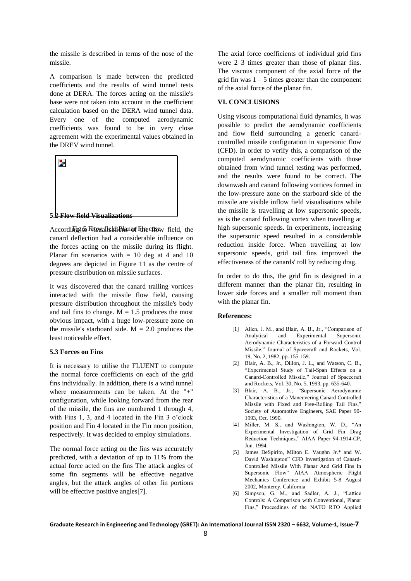the missile is described in terms of the nose of the missile.

A comparison is made between the predicted coefficients and the results of wind tunnel tests done at DERA. The forces acting on the missile's base were not taken into account in the coefficient calculation based on the DERA wind tunnel data. Every one of the computed aerodynamic coefficients was found to be in very close agreement with the experimental values obtained in the DREV wind tunnel.



Accordilrig to Flow affisid i Bhan of Fine casew field, the canard deflection had a considerable influence on the forces acting on the missile during its flight. Planar fin scenarios with  $= 10$  deg at 4 and 10 degrees are depicted in Figure 11 as the centre of pressure distribution on missile surfaces.

It was discovered that the canard trailing vortices interacted with the missile flow field, causing pressure distribution throughout the missile's body and tail fins to change.  $M = 1.5$  produces the most obvious impact, with a huge low-pressure zone on the missile's starboard side.  $M = 2.0$  produces the least noticeable effect.

#### **5.3 Forces on Fins**

It is necessary to utilise the FLUENT to compute the normal force coefficients on each of the grid fins individually. In addition, there is a wind tunnel where measurements can be taken. At the "+" configuration, while looking forward from the rear of the missile, the fins are numbered 1 through 4, with Fins 1, 3, and 4 located in the Fin 3 o'clock position and Fin 4 located in the Fin noon position, respectively. It was decided to employ simulations.

The normal force acting on the fins was accurately predicted, with a deviation of up to 11% from the actual force acted on the fins The attack angles of some fin segments will be effective negative angles, but the attack angles of other fin portions will be effective positive angles<sup>[7]</sup>.

The axial force coefficients of individual grid fins were 2–3 times greater than those of planar fins. The viscous component of the axial force of the grid fin was  $1 - 5$  times greater than the component of the axial force of the planar fin.

## **VI. CONCLUSIONS**

Using viscous computational fluid dynamics, it was possible to predict the aerodynamic coefficients and flow field surrounding a generic canardcontrolled missile configuration in supersonic flow (CFD). In order to verify this, a comparison of the computed aerodynamic coefficients with those obtained from wind tunnel testing was performed, and the results were found to be correct. The downwash and canard following vortices formed in the low-pressure zone on the starboard side of the missile are visible inflow field visualisations while the missile is travelling at low supersonic speeds, as is the canard following vortex when travelling at high supersonic speeds. In experiments, increasing the supersonic speed resulted in a considerable reduction inside force. When travelling at low supersonic speeds, grid tail fins improved the effectiveness of the canards' roll by reducing drag.

In order to do this, the grid fin is designed in a different manner than the planar fin, resulting in lower side forces and a smaller roll moment than with the planar fin.

## **References:**

- [1] Allen, J. M., and Blair, A. B., Jr., "Comparison of Analytical and Experimental Supersonic Aerodynamic Characteristics of a Forward Control Missile," Journal of Spacecraft and Rockets, Vol. 19, No. 2, 1982, pp. 155-159.
- [2] Blair, A. B., Jr., Dillon, J. L., and Watson, C. B., "Experimental Study of Tail-Span Effects on a Canard-Controlled Missile," Journal of Spacecraft and Rockets, Vol. 30, No. 5, 1993, pp. 635-640.
- [3] Blair, A. B., Jr., "Supersonic Aerodynamic Characteristics of a Maneuvering Canard Controlled Missile with Fixed and Free-Rolling Tail Fins," Society of Automotive Engineers, SAE Paper 90- 1993, Oct. 1990.
- [4] Miller, M. S., and Washington, W. D., "An Experimental Investigation of Grid Fin Drag Reduction Techniques," AIAA Paper 94-1914-CP, Jun. 1994.
- [5] James DeSpirito, Milton E. Vaughn Jr.\* and W. David Washington" CFD Investigation of Canard-Controlled Missile With Planar And Grid Fins In Supersonic Flow" AIAA Atmospheric Flight Mechanics Conference and Exhibit 5-8 August 2002, Monterey, California
- [6] Simpson, G. M., and Sadler, A. J., "Lattice Controls: A Comparison with Conventional, Planar Fins," Proceedings of the NATO RTO Applied

**Graduate Research in Engineering and Technology (GRET): An International Journal ISSN 2320 – 6632, Volume-1, Issue-7**